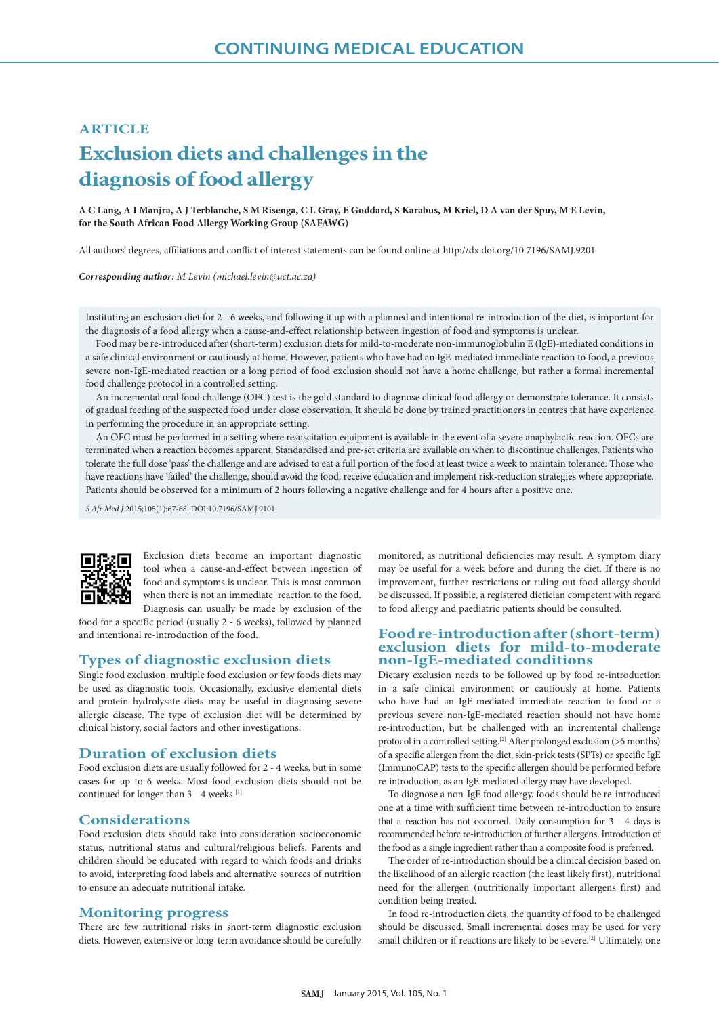# **ARTICLE Exclusion diets and challenges in the diagnosis of food allergy**

**A C Lang, A I Manjra, A J Terblanche, S M Risenga, C L Gray, E Goddard, S Karabus, M Kriel, D A van der Spuy, M E Levin, for the South African Food Allergy Working Group (SAFAWG)**

All authors' degrees, affiliations and conflict of interest statements can be found online at http://dx.doi.org/10.7196/SAMJ.9201

*Corresponding author: M Levin (michael.levin@uct.ac.za)*

Instituting an exclusion diet for 2 - 6 weeks, and following it up with a planned and intentional re-introduction of the diet, is important for the diagnosis of a food allergy when a cause-and-effect relationship between ingestion of food and symptoms is unclear.

Food may be re-introduced after (short-term) exclusion diets for mild-to-moderate non-immunoglobulin E (IgE)-mediated conditions in a safe clinical environment or cautiously at home. However, patients who have had an IgE-mediated immediate reaction to food, a previous severe non-IgE-mediated reaction or a long period of food exclusion should not have a home challenge, but rather a formal incremental food challenge protocol in a controlled setting.

An incremental oral food challenge (OFC) test is the gold standard to diagnose clinical food allergy or demonstrate tolerance. It consists of gradual feeding of the suspected food under close observation. It should be done by trained practitioners in centres that have experience in performing the procedure in an appropriate setting.

An OFC must be performed in a setting where resuscitation equipment is available in the event of a severe anaphylactic reaction. OFCs are terminated when a reaction becomes apparent. Standardised and pre-set criteria are available on when to discontinue challenges. Patients who tolerate the full dose 'pass' the challenge and are advised to eat a full portion of the food at least twice a week to maintain tolerance. Those who have reactions have 'failed' the challenge, should avoid the food, receive education and implement risk-reduction strategies where appropriate. Patients should be observed for a minimum of 2 hours following a negative challenge and for 4 hours after a positive one.

*S Afr Med J* 2015;105(1):67-68. DOI:10.7196/SAMJ.9101



Exclusion diets become an important diagnostic tool when a cause-and-effect between ingestion of food and symptoms is unclear. This is most common when there is not an immediate reaction to the food. Diagnosis can usually be made by exclusion of the

food for a specific period (usually 2 - 6 weeks), followed by planned and intentional re-introduction of the food.

#### **Types of diagnostic exclusion diets**

Single food exclusion, multiple food exclusion or few foods diets may be used as diagnostic tools. Occasionally, exclusive elemental diets and protein hydrolysate diets may be useful in diagnosing severe allergic disease. The type of exclusion diet will be determined by clinical history, social factors and other investigations.

### **Duration of exclusion diets**

Food exclusion diets are usually followed for 2 - 4 weeks, but in some cases for up to 6 weeks. Most food exclusion diets should not be continued for longer than 3 - 4 weeks.<sup>[1]</sup>

## **Considerations**

Food exclusion diets should take into consideration socioeconomic status, nutritional status and cultural/religious beliefs. Parents and children should be educated with regard to which foods and drinks to avoid, interpreting food labels and alternative sources of nutrition to ensure an adequate nutritional intake.

#### **Monitoring progress**

There are few nutritional risks in short-term diagnostic exclusion diets. However, extensive or long-term avoidance should be carefully monitored, as nutritional deficiencies may result. A symptom diary may be useful for a week before and during the diet. If there is no improvement, further restrictions or ruling out food allergy should be discussed. If possible, a registered dietician competent with regard to food allergy and paediatric patients should be consulted.

## **Food re-introduction after (short-term) exclusion diets for mild-to-moderate non-IgE-mediated conditions**

Dietary exclusion needs to be followed up by food re-introduction in a safe clinical environment or cautiously at home. Patients who have had an IgE-mediated immediate reaction to food or a previous severe non-IgE-mediated reaction should not have home re-introduction, but be challenged with an incremental challenge protocol in a controlled setting.<sup>[2]</sup> After prolonged exclusion (>6 months) of a specific allergen from the diet, skin-prick tests (SPTs) or specific IgE (ImmunoCAP) tests to the specific allergen should be performed before re-introduction, as an IgE-mediated allergy may have developed.

To diagnose a non-IgE food allergy, foods should be re-introduced one at a time with sufficient time between re-introduction to ensure that a reaction has not occurred. Daily consumption for 3 - 4 days is recommended before re-introduction of further allergens. Introduction of the food as a single ingredient rather than a composite food is preferred.

The order of re-introduction should be a clinical decision based on the likelihood of an allergic reaction (the least likely first), nutritional need for the allergen (nutritionally important allergens first) and condition being treated.

In food re-introduction diets, the quantity of food to be challenged should be discussed. Small incremental doses may be used for very small children or if reactions are likely to be severe.<sup>[2]</sup> Ultimately, one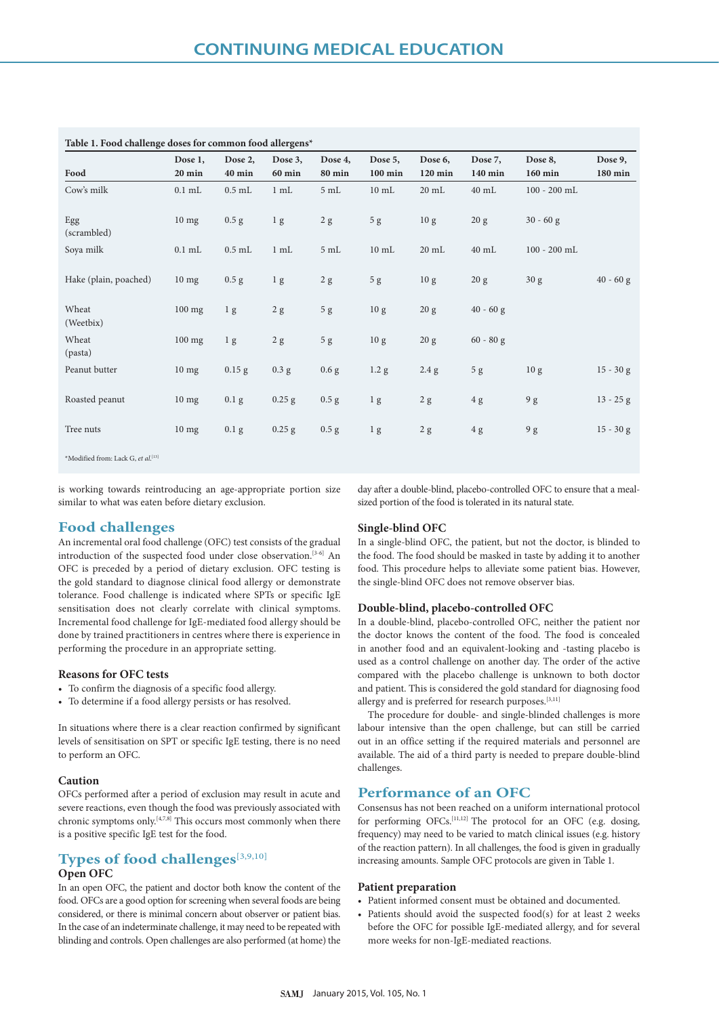| Table 1. Food challenge doses for common food allergens* |                   |                   |                          |                          |                      |                    |                    |                    |                    |
|----------------------------------------------------------|-------------------|-------------------|--------------------------|--------------------------|----------------------|--------------------|--------------------|--------------------|--------------------|
| Food                                                     | Dose 1,<br>20 min | Dose 2,<br>40 min | Dose 3,<br><b>60 min</b> | Dose 4,<br><b>80 min</b> | Dose 5,<br>$100$ min | Dose 6,<br>120 min | Dose 7,<br>140 min | Dose 8,<br>160 min | Dose 9,<br>180 min |
| Cow's milk                                               | $0.1$ mL          | $0.5$ mL          | 1 mL                     | 5mL                      | $10 \text{ mL}$      | $20 \text{ mL}$    | $40 \text{ mL}$    | $100 - 200$ mL     |                    |
| Egg<br>(scrambled)                                       | $10$ mg           | $0.5$ g           | 1 <sub>g</sub>           | 2 g                      | 5g                   | 10 <sub>g</sub>    | 20 g               | $30 - 60$ g        |                    |
| Soya milk                                                | $0.1$ mL          | $0.5$ mL          | 1 mL                     | $5 \mathrm{mL}$          | $10 \text{ mL}$      | $20 \text{ mL}$    | $40$ mL            | $100 - 200$ mL     |                    |
| Hake (plain, poached)                                    | $10$ mg           | $0.5$ g           | 1 <sub>g</sub>           | 2 g                      | 5g                   | 10 <sub>g</sub>    | 20 g               | 30 g               | $40 - 60$ g        |
| Wheat<br>(Weetbix)                                       | $100$ mg          | 1 <sub>g</sub>    | 2 g                      | $5\ \mathrm{g}$          | 10 <sub>g</sub>      | 20 g               | $40 - 60$ g        |                    |                    |
| Wheat<br>(pasta)                                         | $100$ mg          | 1 <sub>g</sub>    | 2 g                      | 5 <sub>g</sub>           | 10 <sub>g</sub>      | 20 g               | $60 - 80$ g        |                    |                    |
| Peanut butter                                            | $10$ mg           | $0.15$ g          | $0.3$ g                  | 0.6 <sub>g</sub>         | 1.2 g                | 2.4 g              | 5g                 | 10 <sub>g</sub>    | $15 - 30 g$        |
| Roasted peanut                                           | $10$ mg           | 0.1 <sub>g</sub>  | $0.25$ g                 | $0.5$ g                  | 1 <sub>g</sub>       | 2 g                | 4g                 | 9g                 | $13 - 25$ g        |
| Tree nuts                                                | $10$ mg           | $0.1\text{ g}$    | $0.25$ g                 | $0.5$ g                  | 1 <sub>g</sub>       | 2 g                | 4 g                | 9g                 | $15 - 30 g$        |
| *Modified from: Lack G, et al.[13]                       |                   |                   |                          |                          |                      |                    |                    |                    |                    |

is working towards reintroducing an age-appropriate portion size

similar to what was eaten before dietary exclusion.

day after a double-blind, placebo-controlled OFC to ensure that a mealsized portion of the food is tolerated in its natural state.

## **Food challenges**

An incremental oral food challenge (OFC) test consists of the gradual introduction of the suspected food under close observation.[3-6] An OFC is preceded by a period of dietary exclusion. OFC testing is the gold standard to diagnose clinical food allergy or demonstrate tolerance. Food challenge is indicated where SPTs or specific IgE sensitisation does not clearly correlate with clinical symptoms. Incremental food challenge for IgE-mediated food allergy should be done by trained practitioners in centres where there is experience in performing the procedure in an appropriate setting.

### **Reasons for OFC tests**

- To confirm the diagnosis of a specific food allergy.
- To determine if a food allergy persists or has resolved.

In situations where there is a clear reaction confirmed by significant levels of sensitisation on SPT or specific IgE testing, there is no need to perform an OFC.

### **Caution**

OFCs performed after a period of exclusion may result in acute and severe reactions, even though the food was previously associated with chronic symptoms only.[4,7,8] This occurs most commonly when there is a positive specific IgE test for the food.

## **Types of food challenges**[3,9,10] **Open OFC**

In an open OFC, the patient and doctor both know the content of the food. OFCs are a good option for screening when several foods are being considered, or there is minimal concern about observer or patient bias. In the case of an indeterminate challenge, it may need to be repeated with blinding and controls. Open challenges are also performed (at home) the

#### **Single-blind OFC**

In a single-blind OFC, the patient, but not the doctor, is blinded to the food. The food should be masked in taste by adding it to another food. This procedure helps to alleviate some patient bias. However, the single-blind OFC does not remove observer bias.

#### **Double-blind, placebo-controlled OFC**

In a double-blind, placebo-controlled OFC, neither the patient nor the doctor knows the content of the food. The food is concealed in another food and an equivalent-looking and -tasting placebo is used as a control challenge on another day. The order of the active compared with the placebo challenge is unknown to both doctor and patient. This is considered the gold standard for diagnosing food allergy and is preferred for research purposes.[3,11]

The procedure for double- and single-blinded challenges is more labour intensive than the open challenge, but can still be carried out in an office setting if the required materials and personnel are available. The aid of a third party is needed to prepare double-blind challenges.

## **Performance of an OFC**

Consensus has not been reached on a uniform international protocol for performing OFCs.[11,12] The protocol for an OFC (e.g. dosing, frequency) may need to be varied to match clinical issues (e.g. history of the reaction pattern). In all challenges, the food is given in gradually increasing amounts. Sample OFC protocols are given in Table 1.

#### **Patient preparation**

- Patient informed consent must be obtained and documented.
- Patients should avoid the suspected food(s) for at least 2 weeks before the OFC for possible IgE-mediated allergy, and for several more weeks for non-IgE-mediated reactions.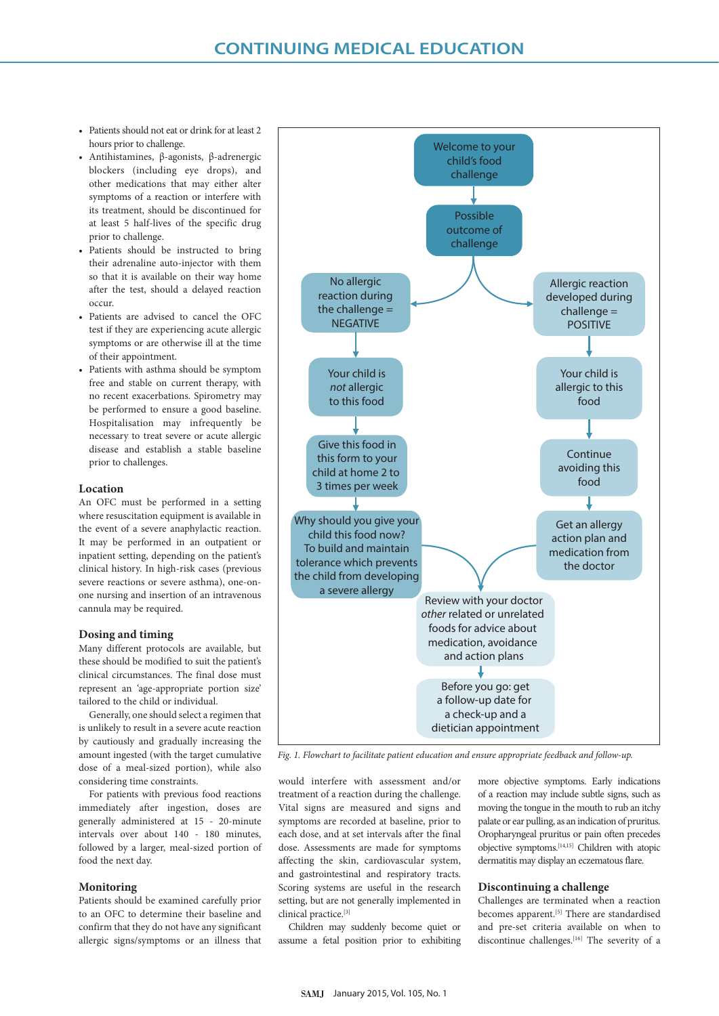- Patients should not eat or drink for at least 2 hours prior to challenge.
- Antihistamines, β-agonists, β-adrenergic blockers (including eye drops), and other medications that may either alter symptoms of a reaction or interfere with its treatment, should be discontinued for at least 5 half-lives of the specific drug prior to challenge.
- Patients should be instructed to bring their adrenaline auto-injector with them so that it is available on their way home after the test, should a delayed reaction occur.
- Patients are advised to cancel the OFC test if they are experiencing acute allergic symptoms or are otherwise ill at the time of their appointment.
- Patients with asthma should be symptom free and stable on current therapy, with no recent exacerbations. Spirometry may be performed to ensure a good baseline. Hospitalisation may infrequently be necessary to treat severe or acute allergic disease and establish a stable baseline prior to challenges.

#### **Location**

An OFC must be performed in a setting where resuscitation equipment is available in the event of a severe anaphylactic reaction. It may be performed in an outpatient or inpatient setting, depending on the patient's clinical history. In high-risk cases (previous severe reactions or severe asthma), one-onone nursing and insertion of an intravenous cannula may be required.

#### **Dosing and timing**

Many different protocols are available, but these should be modified to suit the patient's clinical circumstances. The final dose must represent an 'age-appropriate portion size' tailored to the child or individual.

Generally, one should select a regimen that is unlikely to result in a severe acute reaction by cautiously and gradually increasing the amount ingested (with the target cumulative dose of a meal-sized portion), while also considering time constraints.

For patients with previous food reactions immediately after ingestion, doses are generally administered at 15 - 20-minute intervals over about 140 - 180 minutes, followed by a larger, meal-sized portion of food the next day.

#### **Monitoring**

Patients should be examined carefully prior to an OFC to determine their baseline and confirm that they do not have any significant allergic signs/symptoms or an illness that



*Fig. 1. Flowchart to facilitate patient education and ensure appropriate feedback and follow-up.*

would interfere with assessment and/or treatment of a reaction during the challenge. Vital signs are measured and signs and symptoms are recorded at baseline, prior to each dose, and at set intervals after the final dose. Assessments are made for symptoms affecting the skin, cardiovascular system, and gastrointestinal and respiratory tracts. Scoring systems are useful in the research setting, but are not generally implemented in clinical practice.[3]

Children may suddenly become quiet or assume a fetal position prior to exhibiting more objective symptoms. Early indications of a reaction may include subtle signs, such as moving the tongue in the mouth to rub an itchy palate or ear pulling, as an indication of pruritus. Oropharyngeal pruritus or pain often precedes objective symptoms.[14,15] Children with atopic dermatitis may display an eczematous flare.

#### **Discontinuing a challenge**

Challenges are terminated when a reaction becomes apparent.<sup>[5]</sup> There are standardised and pre-set criteria available on when to discontinue challenges.<sup>[16]</sup> The severity of a